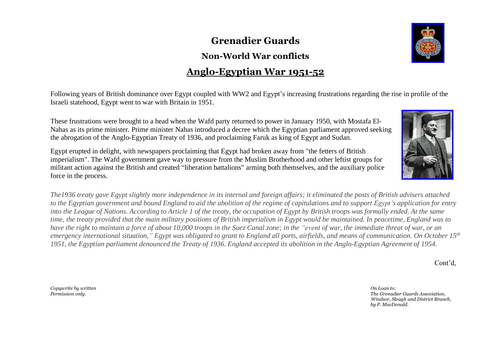## **Grenadier Guards**

## **Non-World War conflicts**

## **Anglo-Egyptian War 1951-52**

Following years of British dominance over Egypt coupled with WW2 and Egypt's increasing frustrations regarding the rise in profile of the Israeli statehood, Egypt went to war with Britain in 1951.

These frustrations were brought to a head when the Wafd party returned to power in January 1950, with Mostafa El-Nahas as its prime minister. Prime minister Nahas introduced a decree which the Egyptian parliament approved seeking the abrogation of the Anglo-Egyptian Treaty of 1936, and proclaiming Faruk as king of Egypt and Sudan.

Egypt erupted in delight, with newspapers proclaiming that Egypt had broken away from "the fetters of British imperialism". The Wafd government gave way to pressure from the Muslim Brotherhood and other leftist groups for militant action against the British and created "liberation battalions" arming both themselves, and the auxiliary police force in the process.

The 1936 treaty gave Egypt slightly more independence in its internal and foreign affairs; it eliminated the posts of British advisers attached to the Egyptian government and bound England to aid the abolition of the regime of capitulations and to support Egypt's application for entry into the League of Nations. According to Article 1 of the treaty, the occupation of Egypt by British troops was formally ended. At the same time, the treaty provided that the main military positions of British imperialism in Egypt would be maintained. In peacetime, England was to have the right to maintain a force of about 10,000 troops in the Suez Canal zone; in the "event of war, the immediate threat of war, or an emergency international situation," Egypt was obligated to grant to England all ports, airfields, and means of communication. On October  $15<sup>th</sup>$ 1951, the Egyptian parliament denounced the Treaty of 1936. England accepted its abolition in the Anglo-Egyptian Agreement of 1954.

Cont'd,

*Copywrite by written On Loan to:*





*Permission only. The Grenadier Guards Association, Windsor, Slough and District Branch, by P. MacDonald.*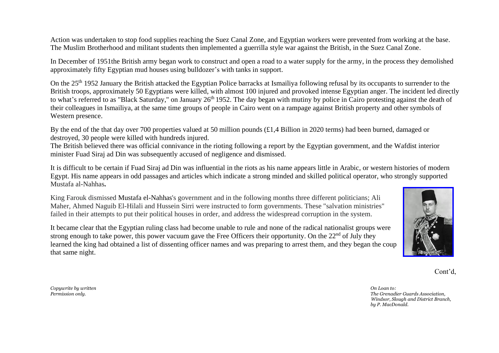Action was undertaken to stop food supplies reaching the Suez Canal Zone, and Egyptian workers were prevented from working at the base. The Muslim Brotherhood and militant students then implemented a guerrilla style war against the British, in the Suez Canal Zone.

In December of 1951the British army began work to construct and open a road to a water supply for the army, in the process they demolished approximately fifty Egyptian mud houses using bulldozer's with tanks in support.

On the 25<sup>th</sup> 1952 January the British attacked the Egyptian Police barracks at Ismailiya following refusal by its occupants to surrender to the British troops, approximately 50 Egyptians were killed, with almost 100 injured and provoked intense Egyptian anger. The incident led directly to what's referred to as "Black Saturday," on January 26<sup>th</sup> 1952. The day began with mutiny by police in Cairo protesting against the death of their colleagues in Ismailiya, at the same time groups of people in Cairo went on a rampage against British property and other symbols of Western presence.

By the end of the that day over 700 properties valued at 50 million pounds (£1,4 Billion in 2020 terms) had been burned, damaged or destroyed, 30 people were killed with hundreds injured.

The British believed there was official connivance in the rioting following a report by the Egyptian government, and the Wafdist interior minister Fuad Siraj ad Din was subsequently accused of negligence and dismissed.

It is difficult to be certain if Fuad Siraj ad Din was influential in the riots as his name appears little in Arabic, or western histories of modern Egypt. His name appears in odd passages and articles which indicate a strong minded and skilled political operator, who strongly supported Mustafa al-Nahhas**.**

King Farouk dismissed Mustafa el-Nahhas's government and in the following months three different politicians; Ali Maher, Ahmed Naguib El-Hilali and Hussein Sirri were instructed to form governments. These "salvation ministries" failed in their attempts to put their political houses in order, and address the widespread corruption in the system.

It became clear that the Egyptian ruling class had become unable to rule and none of the radical nationalist groups were strong enough to take power, this power vacuum gave the Free Officers their opportunity. On the  $22<sup>nd</sup>$  of July they learned the king had obtained a list of dissenting officer names and was preparing to arrest them, and they began the coup that same night.



Cont'd,

*Copywrite by written On Loan to:*

*Permission only. The Grenadier Guards Association, Windsor, Slough and District Branch, by P. MacDonald.*